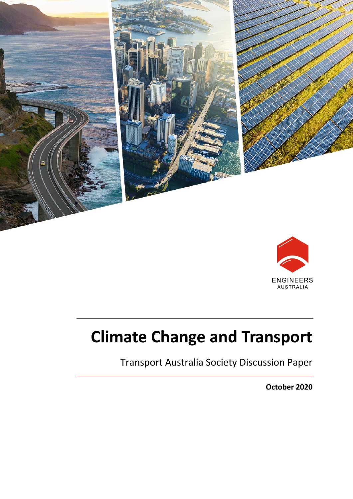



# **Climate Change and Transport**

Transport Australia Society Discussion Paper

**October 2020**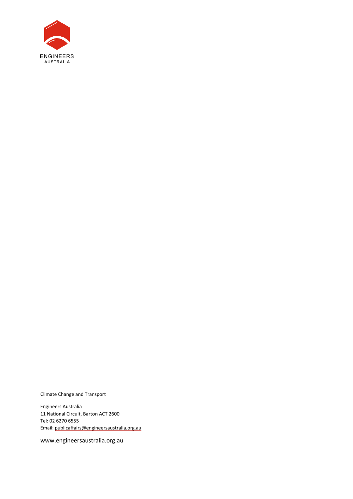

Climate Change and Transport

Engineers Australia 11 National Circuit, Barton ACT 2600 Tel: 02 6270 6555 Email[: publicaffairs@engineersaustralia.org.au](mailto:publicaffairs@engineersaustralia.org.au)

www.engineersaustralia.org.au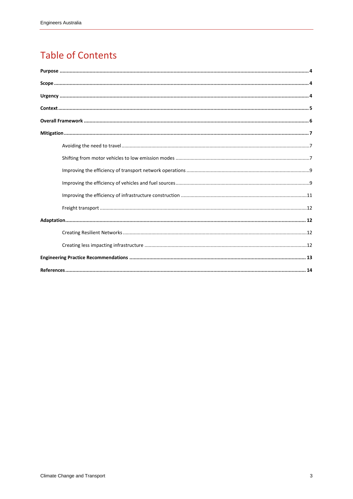## **Table of Contents**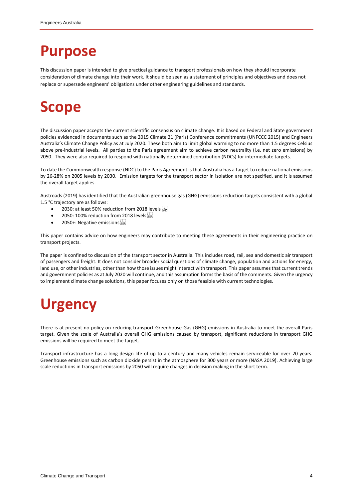## <span id="page-3-0"></span>**Purpose**

This discussion paper is intended to give practical guidance to transport professionals on how they should incorporate consideration of climate change into their work. It should be seen as a statement of principles and objectives and does not replace or supersede engineers' obligations under other engineering guidelines and standards.

## <span id="page-3-1"></span>**Scope**

The discussion paper accepts the current scientific consensus on climate change. It is based on Federal and State government policies evidenced in documents such as the 2015 Climate 21 (Paris) Conference commitments (UNFCCC 2015) and Engineers Australia's Climate Change Policy as at July 2020. These both aim to limit global warming to no more than 1.5 degrees Celsius above pre-industrial levels. All parties to the Paris agreement aim to achieve carbon neutrality (i.e. net zero emissions) by 2050. They were also required to respond with nationally determined contribution (NDCs) for intermediate targets.

To date the Commonwealth response (NDC) to the Paris Agreement is that Australia has a target to reduce national emissions by 26-28% on 2005 levels by 2030. Emission targets for the transport sector in isolation are not specified, and it is assumed the overall target applies.

Austroads (2019) has identified that the Australian greenhouse gas (GHG) emissions reduction targets consistent with a global 1.5 °C trajectory are as follows:

- 2030: at least 50% reduction from 2018 levels
- 2050: 100% reduction from 2018 levels see
- 2050+: Negative emissions

This paper contains advice on how engineers may contribute to meeting these agreements in their engineering practice on transport projects.

The paper is confined to discussion of the transport sector in Australia. This includes road, rail, sea and domestic air transport of passengers and freight. It does not consider broader social questions of climate change, population and actions for energy, land use, or other industries, other than how those issues might interact with transport. This paper assumes that current trends and government policies as at July 2020 will continue, and this assumption forms the basis of the comments. Given the urgency to implement climate change solutions, this paper focuses only on those feasible with current technologies.

## <span id="page-3-2"></span>**Urgency**

There is at present no policy on reducing transport Greenhouse Gas (GHG) emissions in Australia to meet the overall Paris target. Given the scale of Australia's overall GHG emissions caused by transport, significant reductions in transport GHG emissions will be required to meet the target.

Transport infrastructure has a long design life of up to a century and many vehicles remain serviceable for over 20 years. Greenhouse emissions such as carbon dioxide persist in the atmosphere for 300 years or more (NASA 2019). Achieving large scale reductions in transport emissions by 2050 will require changes in decision making in the short term.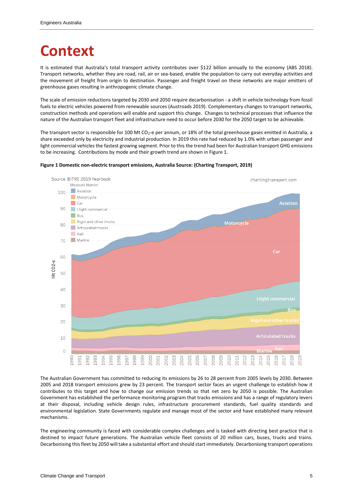## <span id="page-4-0"></span>**Context**

It is estimated that Australia's total transport activity contributes over \$122 billion annually to the economy (ABS 2018). Transport networks, whether they are road, rail, air or sea-based, enable the population to carry out everyday activities and the movement of freight from origin to destination. Passenger and freight travel on these networks are major emitters of greenhouse gases resulting in anthropogenic climate change.

The scale of emission reductions targeted by 2030 and 2050 require decarbonisation - a shift in vehicle technology from fossil fuels to electric vehicles powered from renewable sources (Austroads 2019). Complementary changes to transport networks, construction methods and operations will enable and support this change. Changes to technical processes that influence the nature of the Australian transport fleet and infrastructure need to occur before 2030 for the 2050 target to be achievable.

The transport sector is responsible for 100 Mt CO<sub>2</sub>-e per annum, or 18% of the total greenhouse gases emitted in Australia, a share exceeded only by electricity and industrial production. In 2019 this rate had reduced by 1.0% with urban passenger and light commercial vehicles the fastest growing segment. Prior to this the trend had been for Australian transport GHG emissions to be increasing. Contributions by mode and their growth trend are shown in Figure 1.



#### **Figure 1 Domestic non-electric transport emissions, Australia Source: (Charting Transport, 2019)**

The Australian Government has committed to reducing its emissions by 26 to 28 percent from 2005 levels by 2030. Between 2005 and 2018 transport emissions grew by 23 percent. The transport sector faces an urgent challenge to establish how it contributes to this target and how to change our emission trends so that net zero by 2050 is possible. The Australian Government has established the performance monitoring program that tracks emissions and has a range of regulatory levers at their disposal, including vehicle design rules, infrastructure procurement standards, fuel quality standards and environmental legislation. State Governments regulate and manage most of the sector and have established many relevant mechanisms.

The engineering community is faced with considerable complex challenges and is tasked with directing best practice that is destined to impact future generations. The Australian vehicle fleet consists of 20 million cars, buses, trucks and trains. Decarbonising this fleet by 2050 will take a substantial effort and should start immediately. Decarbonising transport operations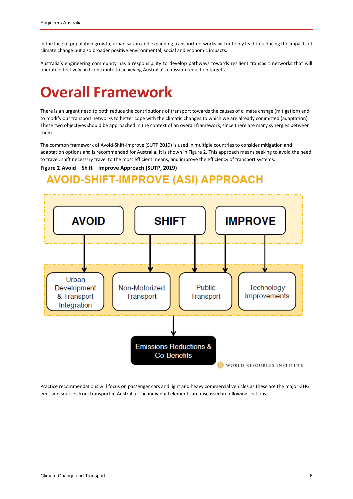in the face of population growth, urbanisation and expanding transport networks will not only lead to reducing the impacts of climate change but also broader positive environmental, social and economic impacts.

Australia's engineering community has a responsibility to develop pathways towards resilient transport networks that will operate effectively and contribute to achieving Australia's emission reduction targets.

## <span id="page-5-0"></span>**Overall Framework**

There is an urgent need to both reduce the contributions of transport towards the causes of climate change (mitigation) and to modify our transport networks to better cope with the climatic changes to which we are already committed (adaptation). These two objectives should be approached in the context of an overall framework, since there are many synergies between them.

The common framework of Avoid-Shift-Improve (SUTP 2019) is used in multiple countries to consider mitigation and adaptation options and is recommended for Australia. It is shown in Figure 2. This approach means seeking to avoid the need to travel, shift necessary travel to the most efficient means, and improve the efficiency of transport systems.

### **Figure 2 Avoid – Shift – Improve Approach (SUTP, 2019)**

### **AVOID-SHIFT-IMPROVE (ASI) APPROACH**



Practice recommendations will focus on passenger cars and light and heavy commercial vehicles as these are the major GHG emission sources from transport in Australia. The individual elements are discussed in following sections.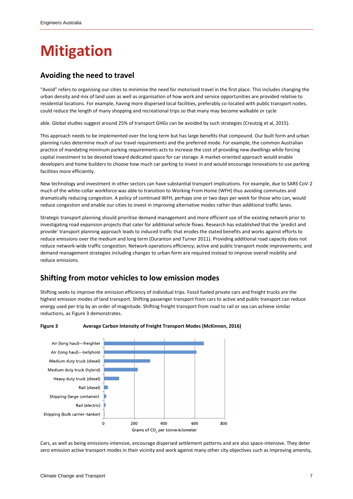# <span id="page-6-0"></span>**Mitigation**

### <span id="page-6-1"></span>**Avoiding the need to travel**

"Avoid" refers to organising our cities to minimise the need for motorised travel in the first place. This includes changing the urban density and mix of land uses as well as organisation of how work and service opportunities are provided relative to residential locations. For example, having more dispersed local facilities, preferably co-located with public transport nodes, could reduce the length of many shopping and recreational trips so that many may become walkable or cycle

able. Global studies suggest around 25% of transport GHGs can be avoided by such strategies (Creutzig et al, 2015).

This approach needs to be implemented over the long term but has large benefits that compound. Our built form and urban planning rules determine much of our travel requirements and the preferred mode. For example, the common Australian practice of mandating minimum parking requirements acts to increase the cost of providing new dwellings while forcing capital investment to be devoted toward dedicated space for car storage. A market-oriented approach would enable developers and home builders to choose how much car parking to invest in and would encourage innovations to use parking facilities more efficiently.

New technology and investment in other sectors can have substantial transport implications. For example, due to SARS CoV-2 much of the white-collar workforce was able to transition to Working From Home (WFH) thus avoiding commutes and dramatically reducing congestion. A policy of continued WFH, perhaps one or two days per week for those who can, would reduce congestion and enable our cities to invest in improving alternative modes rather than additional traffic lanes.

Strategic transport planning should prioritise demand management and more efficient use of the existing network prior to investigating road expansion projects that cater for additional vehicle flows. Research has established that the 'predict and provide' transport planning approach leads to induced traffic that erodes the stated benefits and works against efforts to reduce emissions over the medium and long term (Duranton and Turner 2011). Providing additional road capacity does not reduce network-wide traffic congestion. Network operations efficiency; active and public transport mode improvements; and demand management strategies including changes to urban form are required instead to improve overall mobility and reduce emissions.

### <span id="page-6-2"></span>**Shifting from motor vehicles to low emission modes**

Shifting seeks to improve the emission efficiency of individual trips. Fossil fueled private cars and freight trucks are the highest emission modes of land transport. Shifting passenger transport from cars to active and public transport can reduce energy used per trip by an order of magnitude. Shifting freight transport from road to rail or sea can achieve similar reductions, as Figure 3 demonstrates.



#### **Figure 3 Average Carbon Intensity of Freight Transport Modes (McKinnon, 2016)**

Cars, as well as being emissions-intensive, encourage dispersed settlement patterns and are also space-intensive. They deter zero emission active transport modes in their vicinity and work against many other city objectives such as improving amenity,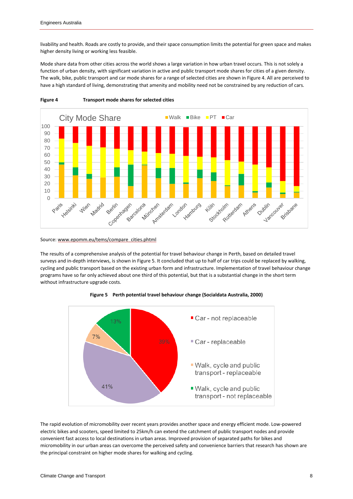livability and health. Roads are costly to provide, and their space consumption limits the potential for green space and makes higher density living or working less feasible.

Mode share data from other cities across the world shows a large variation in how urban travel occurs. This is not solely a function of urban density, with significant variation in active and public transport mode shares for cities of a given density. The walk, bike, public transport and car mode shares for a range of selected cities are shown in Figure 4. All are perceived to have a high standard of living, demonstrating that amenity and mobility need not be constrained by any reduction of cars.



**Figure 4 Transport mode shares for selected cities**

#### Source[: www.epomm.eu/tems/compare\\_cities.phtml](http://www.epomm.eu/tems/compare_cities.phtml)

The results of a comprehensive analysis of the potential for travel behaviour change in Perth, based on detailed travel surveys and in-depth interviews, is shown in Figure 5. It concluded that up to half of car trips could be replaced by walking, cycling and public transport based on the existing urban form and infrastructure. Implementation of travel behaviour change programs have so far only achieved about one third of this potential, but that is a substantial change in the short term without infrastructure upgrade costs.



**Figure 5 Perth potential travel behaviour change (Socialdata Australia, 2000)**

The rapid evolution of micromobility over recent years provides another space and energy efficient mode. Low-powered electric bikes and scooters, speed limited to 25km/h can extend the catchment of public transport nodes and provide convenient fast access to local destinations in urban areas. Improved provision of separated paths for bikes and micromobility in our urban areas can overcome the perceived safety and convenience barriers that research has shown are the principal constraint on higher mode shares for walking and cycling.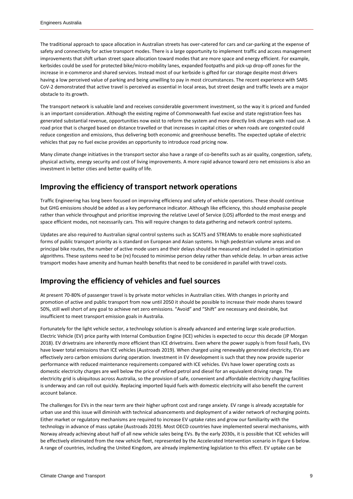The traditional approach to space allocation in Australian streets has over-catered for cars and car-parking at the expense of safety and connectivity for active transport modes. There is a large opportunity to implement traffic and access management improvements that shift urban street space allocation toward modes that are more space and energy efficient. For example, kerbsides could be used for protected bike/micro-mobility lanes, expanded footpaths and pick-up drop-off zones for the increase in e-commerce and shared services. Instead most of our kerbside is gifted for car storage despite most drivers having a low perceived value of parking and being unwilling to pay in most circumstances. The recent experience with SARS CoV-2 demonstrated that active travel is perceived as essential in local areas, but street design and traffic levels are a major obstacle to its growth.

The transport network is valuable land and receives considerable government investment, so the way it is priced and funded is an important consideration. Although the existing regime of Commonwealth fuel excise and state registration fees has generated substantial revenue, opportunities now exist to reform the system and more directly link charges with road use. A road price that is charged based on distance travelled or that increases in capital cities or when roads are congested could reduce congestion and emissions, thus delivering both economic and greenhouse benefits. The expected uptake of electric vehicles that pay no fuel excise provides an opportunity to introduce road pricing now.

Many climate change initiatives in the transport sector also have a range of co-benefits such as air quality, congestion, safety, physical activity, energy security and cost of living improvements. A more rapid advance toward zero net emissions is also an investment in better cities and better quality of life.

### <span id="page-8-0"></span>**Improving the efficiency of transport network operations**

Traffic Engineering has long been focused on improving efficiency and safety of vehicle operations. These should continue but GHG emissions should be added as a key performance indicator. Although like efficiency, this should emphasise people rather than vehicle throughput and prioritise improving the relative Level of Service (LOS) afforded to the most energy and space efficient modes, not necessarily cars. This will require changes to data gathering and network control systems.

Updates are also required to Australian signal control systems such as SCATS and STREAMs to enable more sophisticated forms of public transport priority as is standard on European and Asian systems. In high pedestrian volume areas and on principal bike routes, the number of active mode users and their delays should be measured and included in optimization algorithms. These systems need to be (re) focused to minimise person delay rather than vehicle delay. In urban areas active transport modes have amenity and human health benefits that need to be considered in parallel with travel costs.

### <span id="page-8-1"></span>**Improving the efficiency of vehicles and fuel sources**

At present 70-80% of passenger travel is by private motor vehicles in Australian cities. With changes in priority and promotion of active and public transport from now until 2050 it should be possible to increase their mode shares toward 50%, still well short of any goal to achieve net zero emissions. "Avoid" and "Shift" are necessary and desirable, but insufficient to meet transport emission goals in Australia.

Fortunately for the light vehicle sector, a technology solution is already advanced and entering large scale production. Electric Vehicle (EV) price parity with Internal Combustion Engine (ICE) vehicles is expected to occur this decade (JP Morgan 2018). EV drivetrains are inherently more efficient than ICE drivetrains. Even where the power supply is from fossil fuels, EVs have lower total emissions than ICE vehicles (Austroads 2019). When charged using renewably generated electricity, EVs are effectively zero carbon emissions during operation. Investment in EV development is such that they now provide superior performance with reduced maintenance requirements compared with ICE vehicles. EVs have lower operating costs as domestic electricity charges are well below the price of refined petrol and diesel for an equivalent driving range. The electricity grid is ubiquitous across Australia, so the provision of safe, convenient and affordable electricity charging facilities is underway and can roll out quickly. Replacing imported liquid fuels with domestic electricity will also benefit the current account balance.

The challenges for EVs in the near term are their higher upfront cost and range anxiety. EV range is already acceptable for urban use and this issue will diminish with technical advancements and deployment of a wider network of recharging points. Either market or regulatory mechanisms are required to increase EV uptake rates and grow our familiarity with the technology in advance of mass uptake (Austroads 2019). Most OECD countries have implemented several mechanisms, with Norway already achieving about half of all new vehicle sales being EVs. By the early 2030s, it is possible that ICE vehicles will be effectively eliminated from the new vehicle fleet, represented by the Accelerated Intervention scenario in Figure 6 below. A range of countries, including the United Kingdom, are already implementing legislation to this effect. EV uptake can be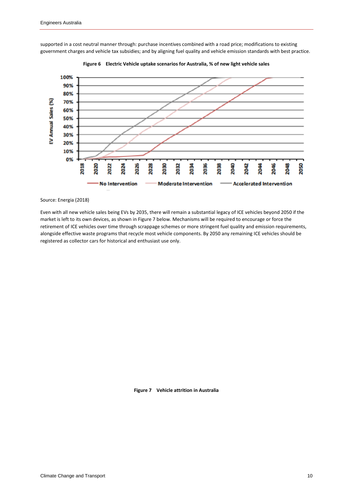supported in a cost neutral manner through: purchase incentives combined with a road price; modifications to existing government charges and vehicle tax subsidies; and by aligning fuel quality and vehicle emission standards with best practice.





#### Source: Energia (2018)

Even with all new vehicle sales being EVs by 2035, there will remain a substantial legacy of ICE vehicles beyond 2050 if the market is left to its own devices, as shown in Figure 7 below. Mechanisms will be required to encourage or force the retirement of ICE vehicles over time through scrappage schemes or more stringent fuel quality and emission requirements, alongside effective waste programs that recycle most vehicle components. By 2050 any remaining ICE vehicles should be registered as collector cars for historical and enthusiast use only.

**Figure 7 Vehicle attrition in Australia**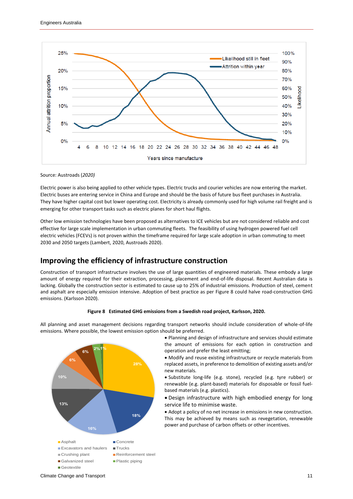

Source: Austroads (*2020)*

Electric power is also being applied to other vehicle types. Electric trucks and courier vehicles are now entering the market. Electric buses are entering service in China and Europe and should be the basis of future bus fleet purchases in Australia. They have higher capital cost but lower operating cost. Electricity is already commonly used for high volume rail freight and is emerging for other transport tasks such as electric planes for short haul flights.

Other low emission technologies have been proposed as alternatives to ICE vehicles but are not considered reliable and cost effective for large scale implementation in urban commuting fleets. The feasibility of using hydrogen powered fuel cell electric vehicles (FCEVs) is not proven within the timeframe required for large scale adoption in urban commuting to meet 2030 and 2050 targets (Lambert, 2020, Austroads 2020).

### <span id="page-10-0"></span>**Improving the efficiency of infrastructure construction**

Construction of transport infrastructure involves the use of large quantities of engineered materials. These embody a large amount of energy required for their extraction, processing, placement and end-of-life disposal. Recent Australian data is lacking. Globally the construction sector is estimated to cause up to 25% of industrial emissions. Production of steel, cement and asphalt are especially emission intensive. Adoption of best practice as per Figure 8 could halve road-construction GHG emissions. (Karlsson 2020).





All planning and asset management decisions regarding transport networks should include consideration of whole-of-life emissions. Where possible, the lowest emission option should be preferred.

• Planning and design of infrastructure and services should estimate the amount of emissions for each option in construction and operation and prefer the least emitting;

• Modify and reuse existing infrastructure or recycle materials from replaced assets, in preference to demolition of existing assets and/or new materials.

• Substitute long-life (e.g. stone), recycled (e.g. tyre rubber) or renewable (e.g. plant-based) materials for disposable or fossil fuelbased materials (e.g. plastics).

• Design infrastructure with high embodied energy for long service life to minimise waste.

• Adopt a policy of no net increase in emissions in new construction. This may be achieved by means such as revegetation, renewable power and purchase of carbon offsets or other incentives.

Climate Change and Transport 11 and 12 and 20 and 20 and 20 and 20 and 20 and 20 and 20 and 20 and 20 and 20 and 20 and 20 and 20 and 20 and 20 and 20 and 20 and 20 and 20 and 20 and 20 and 20 and 20 and 20 and 20 and 20 a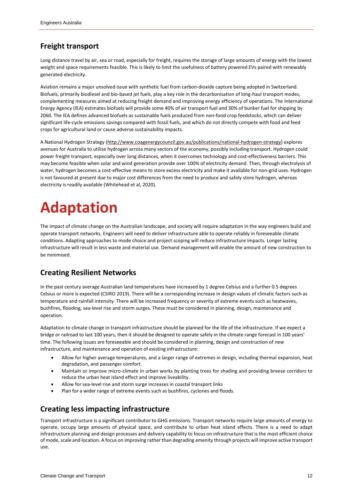### <span id="page-11-0"></span>**Freight transport**

Long distance travel by air, sea or road, especially for freight, requires the storage of large amounts of energy with the lowest weight and space requirements feasible. This is likely to limit the usefulness of battery powered EVs paired with renewably generated electricity.

Aviation remains a major unsolved issue with synthetic fuel from carbon-dioxide capture being adopted in Switzerland. Biofuels, primarily biodiesel and bio-based jet fuels, play a key role in the decarbonisation of long-haul transport modes, complementing measures aimed at reducing freight demand and improving energy efficiency of operations. Th[e International](https://en.wikipedia.org/wiki/International_Energy_Agency)  [Energy Agency](https://en.wikipedia.org/wiki/International_Energy_Agency) (IEA) estimates biofuels will provide some 40% of air transport fuel and 30% of bunker fuel for shipping by 2060. The IEA defines advanced biofuels as sustainable fuels produced from non-food crop feedstocks, which can deliver significant life-cycle emissions savings compared with fossil fuels, and which do not directly compete with food and feed crops for agricultural land or cause adverse sustainability impacts.

A National Hydrogen Strategy [\(http://www.coagenergycouncil.gov.au/publications/national-hydrogen-strategy\)](http://www.coagenergycouncil.gov.au/publications/national-hydrogen-strategy) explores avenues for Australia to utilise hydrogen across many sectors of the economy, possibly including transport. Hydrogen could power freight transport, especially over long distances, when it overcomes technology and cost-effectiveness barriers. This may become feasible when solar and wind generation provide over 100% of electricity demand. Then, through electrolysis of water, hydrogen becomes a cost-effective means to store excess electricity and make it available for non-grid uses. Hydrogen is not favoured at present due to major cost differences from the need to produce and safely store hydrogen, whereas electricity is readily available (Whitehead et al, 2020).

# <span id="page-11-1"></span>**Adaptation**

The impact of climate change on the Australian landscape, and society will require adaptation in the way engineers build and operate transport networks. Engineers will need to deliver infrastructure able to operate reliably in foreseeable climate conditions. Adapting approaches to mode choice and project scoping will reduce infrastructure impacts. Longer lasting infrastructure will result in less waste and material use. Demand management will enable the amount of new construction to be minimised.

### <span id="page-11-2"></span>**Creating Resilient Networks**

In the past century average Australian land temperatures have increased by 1 degree Celsius and a further 0.5 degrees Celsius or more is expected (CSIRO 2019). There will be a corresponding increase in design values of climatic factors such as temperature and rainfall intensity. There will be increased frequency or severity of extreme events such as heatwaves, bushfires, flooding, sea-level rise and storm surges. These must be considered in planning, design, maintenance and operation.

Adaptation to climate change in transport infrastructure should be planned for the life of the infrastructure. If we expect a bridge or railroad to last 100 years, then it should be designed to operate safely in the climate range forecast in 100 years' time. The following issues are foreseeable and should be considered in planning, design and construction of new infrastructure, and maintenance and operation of existing infrastructure:

- Allow for higher average temperatures, and a larger range of extremes in design, including thermal expansion, heat degradation, and passenger comfort.
- Maintain or improve micro-climate in urban works by planting trees for shading and providing breeze corridors to reduce the urban heat island effect and improve liveability.
- Allow for sea-level rise and storm surge increases in coastal transport links
- Plan for a wider range of extreme events such as bushfires, cyclones and floods.

### <span id="page-11-3"></span>**Creating less impacting infrastructure**

Transport infrastructure is a significant contributor to GHG emissions. Transport networks require large amounts of energy to operate, occupy large amounts of physical space, and contribute to urban heat island effects. There is a need to adapt infrastructure planning and design processes and delivery capability to focus on infrastructure that is the most efficient choice of mode, scale and location. A focus on improving rather than degrading amenity through projects will improve active transport use.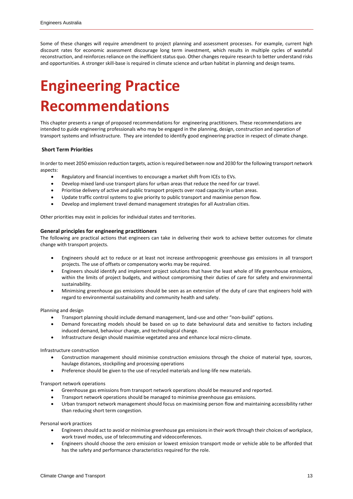Some of these changes will require amendment to project planning and assessment processes. For example, current high discount rates for economic assessment discourage long term investment, which results in multiple cycles of wasteful reconstruction, and reinforces reliance on the inefficient status quo. Other changes require research to better understand risks and opportunities. A stronger skill-base is required in climate science and urban habitat in planning and design teams.

## <span id="page-12-0"></span>**Engineering Practice Recommendations**

This chapter presents a range of proposed recommendations for engineering practitioners. These recommendations are intended to guide engineering professionals who may be engaged in the planning, design, construction and operation of transport systems and infrastructure. They are intended to identify good engineering practice in respect of climate change.

#### **Short Term Priorities**

In order to meet 2050 emission reduction targets, action is required between now and 2030 for the following transport network aspects:

- Regulatory and financial incentives to encourage a market shift from ICEs to EVs.
- Develop mixed land-use transport plans for urban areas that reduce the need for car travel.
- Prioritise delivery of active and public transport projects over road capacity in urban areas.
- Update traffic control systems to give priority to public transport and maximise person flow.
- Develop and implement travel demand management strategies for all Australian cities.

Other priorities may exist in policies for individual states and territories.

#### **General principles for engineering practitioners**

The following are practical actions that engineers can take in delivering their work to achieve better outcomes for climate change with transport projects.

- Engineers should act to reduce or at least not increase anthropogenic greenhouse gas emissions in all transport projects. The use of offsets or compensatory works may be required.
- Engineers should identify and implement project solutions that have the least whole of life greenhouse emissions, within the limits of project budgets, and without compromising their duties of care for safety and environmental sustainability.
- Minimising greenhouse gas emissions should be seen as an extension of the duty of care that engineers hold with regard to environmental sustainability and community health and safety.

Planning and design

- Transport planning should include demand management, land-use and other "non-build" options.
- Demand forecasting models should be based on up to date behavioural data and sensitive to factors including induced demand, behaviour change, and technological change.
- Infrastructure design should maximise vegetated area and enhance local micro-climate.

#### Infrastructure construction

- Construction management should minimise construction emissions through the choice of material type, sources, haulage distances, stockpiling and processing operations
- Preference should be given to the use of recycled materials and long-life new materials.

#### Transport network operations

- Greenhouse gas emissions from transport network operations should be measured and reported.
- Transport network operations should be managed to minimise greenhouse gas emissions.
- Urban transport network management should focus on maximising person flow and maintaining accessibility rather than reducing short term congestion.

Personal work practices

- Engineers should act to avoid or minimise greenhouse gas emissions in their work through their choices of workplace, work travel modes, use of telecommuting and videoconferences.
- Engineers should choose the zero emission or lowest emission transport mode or vehicle able to be afforded that has the safety and performance characteristics required for the role.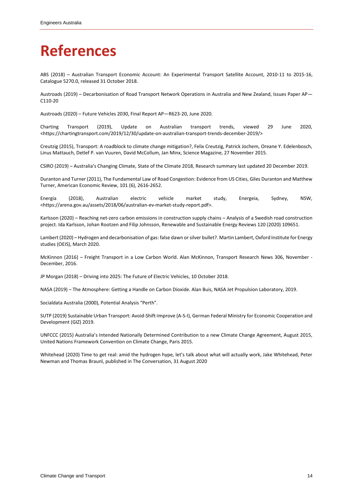## <span id="page-13-0"></span>**References**

ABS (2018) – Australian Transport Economic Account: An Experimental Transport Satellite Account, 2010-11 to 2015-16, Catalogue 5270.0, released 31 October 2018.

Austroads (2019) – Decarbonisation of Road Transport Network Operations in Australia and New Zealand, Issues Paper AP— C110-20

Austroads (2020) – Future Vehicles 2030, Final Report AP—R623-20, June 2020.

Charting Transport (2019), Update on Australian transport trends, viewed 29 June 2020, [<https://chartingtransport.com/2019/12/30/update-on-australian-transport-trends-december-2019/>](https://chartingtransport.com/2019/12/30/update-on-australian-transport-trends-december-2019/)

Creutzig (2015), Transport: A roadblock to climate change mitigation?, Felix Creutzig, Patrick Jochem, Oreane Y. Edelenbosch, Linus Mattauch, Detlef P. van Vuuren, David McCollum, Jan Minx, Science Magazine, 27 November 2015.

CSIRO (2019) – Australia's Changing Climate, State of the Climate 2018, Research summary last updated 20 December 2019.

Duranton and Turner (2011), The Fundamental Law of Road Congestion: Evidence from US Cities, Giles Duranton and Matthew Turner, American Economic Review, 101 (6), 2616-2652.

Energia (2018), Australian electric vehicle market study, Energeia, Sydney, NSW, <https://arena.gov.au/assets/2018/06/australian-ev-market-study-report.pdf>.

Karlsson (2020) – Reaching net-zero carbon emissions in construction supply chains – Analysis of a Swedish road construction project. Ida Karlsson, Johan Rootzen and Filip Johnsson, Renewable and Sustainable Energy Reviews 120 (2020) 109651.

Lambert (2020) – Hydrogen and decarbonisation of gas: false dawn or silver bullet?. Martin Lambert, Oxford Institute for Energy studies (OEIS), March 2020.

McKinnon (2016) – Freight Transport in a Low Carbon World. Alan McKinnon, Transport Research News 306, November - December, 2016.

JP Morgan (2018) – Driving into 2025: The Future of Electric Vehicles, 10 October 2018.

NASA (2019) – The Atmosphere: Getting a Handle on Carbon Dioxide. Alan Buis, NASA Jet Propulsion Laboratory, 2019.

Socialdata Australia (2000), Potential Analysis "Perth".

SUTP (2019) Sustainable Urban Transport: Avoid-Shift-Improve (A-S-I), German Federal Ministry for Economic Cooperation and Development (GIZ) 2019.

UNFCCC (2015) Australia's Intended Nationally Determined Contribution to a new Climate Change Agreement, August 2015, United Nations Framework Convention on Climate Change, Paris 2015.

Whitehead (2020) Time to get real: amid the hydrogen hype, let's talk about what will actually work, Jake Whitehead, Peter Newman and Thomas Braunl, published in The Conversation, 31 August 2020